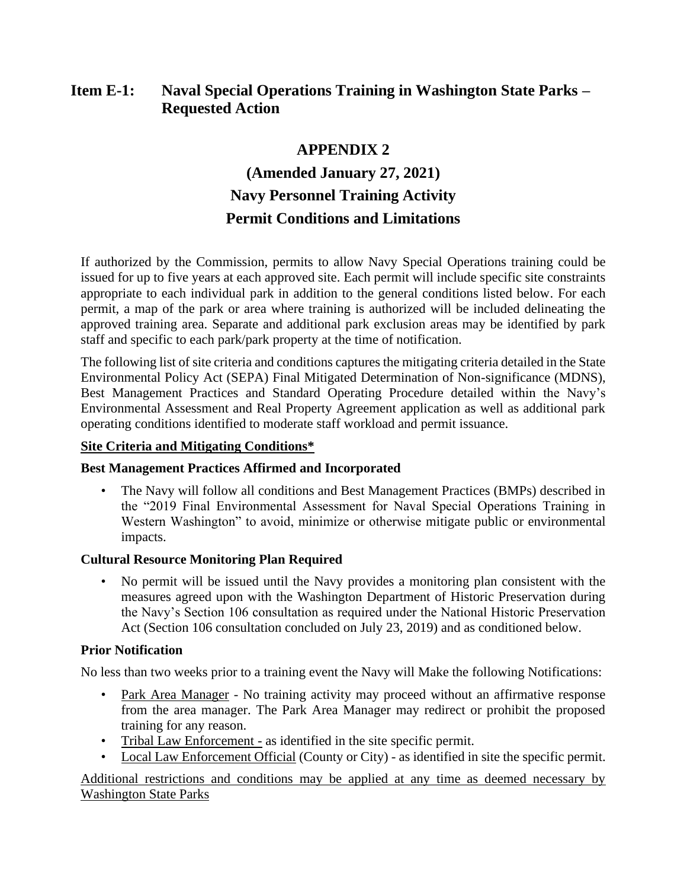# **Item E-1: Naval Special Operations Training in Washington State Parks – Requested Action**

# **APPENDIX 2**

# **(Amended January 27, 2021) Navy Personnel Training Activity Permit Conditions and Limitations**

If authorized by the Commission, permits to allow Navy Special Operations training could be issued for up to five years at each approved site. Each permit will include specific site constraints appropriate to each individual park in addition to the general conditions listed below. For each permit, a map of the park or area where training is authorized will be included delineating the approved training area. Separate and additional park exclusion areas may be identified by park staff and specific to each park/park property at the time of notification.

The following list of site criteria and conditions captures the mitigating criteria detailed in the State Environmental Policy Act (SEPA) Final Mitigated Determination of Non-significance (MDNS), Best Management Practices and Standard Operating Procedure detailed within the Navy's Environmental Assessment and Real Property Agreement application as well as additional park operating conditions identified to moderate staff workload and permit issuance.

#### **Site Criteria and Mitigating Conditions\***

## **Best Management Practices Affirmed and Incorporated**

• The Navy will follow all conditions and Best Management Practices (BMPs) described in the "2019 Final Environmental Assessment for Naval Special Operations Training in Western Washington" to avoid, minimize or otherwise mitigate public or environmental impacts.

## **Cultural Resource Monitoring Plan Required**

• No permit will be issued until the Navy provides a monitoring plan consistent with the measures agreed upon with the Washington Department of Historic Preservation during the Navy's Section 106 consultation as required under the National Historic Preservation Act (Section 106 consultation concluded on July 23, 2019) and as conditioned below.

## **Prior Notification**

No less than two weeks prior to a training event the Navy will Make the following Notifications:

- Park Area Manager No training activity may proceed without an affirmative response from the area manager. The Park Area Manager may redirect or prohibit the proposed training for any reason.
- Tribal Law Enforcement as identified in the site specific permit.
- Local Law Enforcement Official (County or City) as identified in site the specific permit.

Additional restrictions and conditions may be applied at any time as deemed necessary by Washington State Parks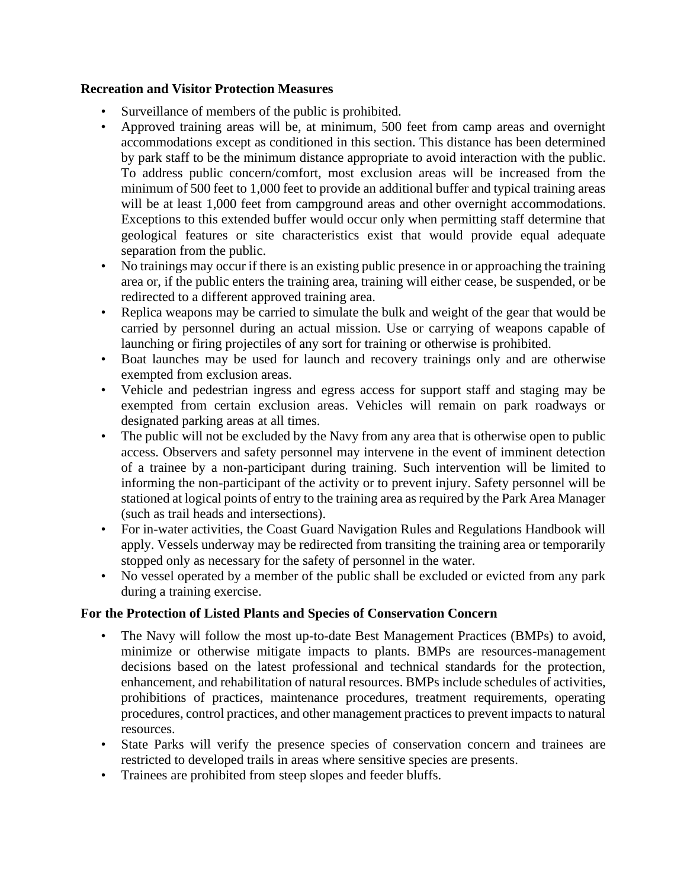#### **Recreation and Visitor Protection Measures**

- Surveillance of members of the public is prohibited.
- Approved training areas will be, at minimum, 500 feet from camp areas and overnight accommodations except as conditioned in this section. This distance has been determined by park staff to be the minimum distance appropriate to avoid interaction with the public. To address public concern/comfort, most exclusion areas will be increased from the minimum of 500 feet to 1,000 feet to provide an additional buffer and typical training areas will be at least 1,000 feet from campground areas and other overnight accommodations. Exceptions to this extended buffer would occur only when permitting staff determine that geological features or site characteristics exist that would provide equal adequate separation from the public.
- No trainings may occur if there is an existing public presence in or approaching the training area or, if the public enters the training area, training will either cease, be suspended, or be redirected to a different approved training area.
- Replica weapons may be carried to simulate the bulk and weight of the gear that would be carried by personnel during an actual mission. Use or carrying of weapons capable of launching or firing projectiles of any sort for training or otherwise is prohibited.
- Boat launches may be used for launch and recovery trainings only and are otherwise exempted from exclusion areas.
- Vehicle and pedestrian ingress and egress access for support staff and staging may be exempted from certain exclusion areas. Vehicles will remain on park roadways or designated parking areas at all times.
- The public will not be excluded by the Navy from any area that is otherwise open to public access. Observers and safety personnel may intervene in the event of imminent detection of a trainee by a non-participant during training. Such intervention will be limited to informing the non-participant of the activity or to prevent injury. Safety personnel will be stationed at logical points of entry to the training area as required by the Park Area Manager (such as trail heads and intersections).
- For in-water activities, the Coast Guard Navigation Rules and Regulations Handbook will apply. Vessels underway may be redirected from transiting the training area or temporarily stopped only as necessary for the safety of personnel in the water.
- No vessel operated by a member of the public shall be excluded or evicted from any park during a training exercise.

## **For the Protection of Listed Plants and Species of Conservation Concern**

- The Navy will follow the most up-to-date Best Management Practices (BMPs) to avoid, minimize or otherwise mitigate impacts to plants. BMPs are resources-management decisions based on the latest professional and technical standards for the protection, enhancement, and rehabilitation of natural resources. BMPs include schedules of activities, prohibitions of practices, maintenance procedures, treatment requirements, operating procedures, control practices, and other management practices to prevent impacts to natural resources.
- State Parks will verify the presence species of conservation concern and trainees are restricted to developed trails in areas where sensitive species are presents.
- Trainees are prohibited from steep slopes and feeder bluffs.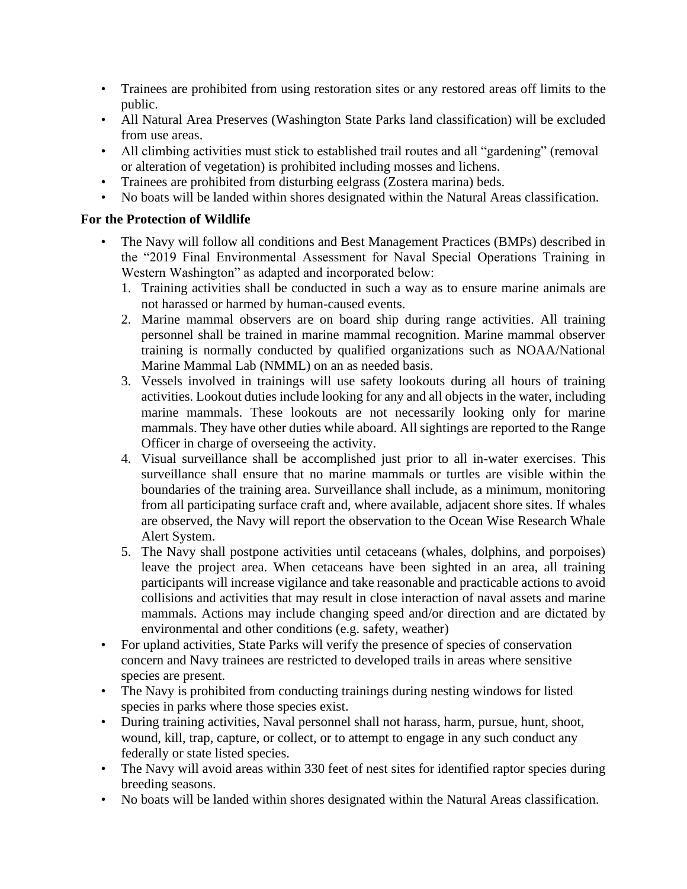- Trainees are prohibited from using restoration sites or any restored areas off limits to the public.
- All Natural Area Preserves (Washington State Parks land classification) will be excluded from use areas.
- All climbing activities must stick to established trail routes and all "gardening" (removal or alteration of vegetation) is prohibited including mosses and lichens.
- Trainees are prohibited from disturbing eelgrass (Zostera marina) beds.
- No boats will be landed within shores designated within the Natural Areas classification.

## **For the Protection of Wildlife**

- The Navy will follow all conditions and Best Management Practices (BMPs) described in the "2019 Final Environmental Assessment for Naval Special Operations Training in Western Washington" as adapted and incorporated below:
	- 1. Training activities shall be conducted in such a way as to ensure marine animals are not harassed or harmed by human-caused events.
	- 2. Marine mammal observers are on board ship during range activities. All training personnel shall be trained in marine mammal recognition. Marine mammal observer training is normally conducted by qualified organizations such as NOAA/National Marine Mammal Lab (NMML) on an as needed basis.
	- 3. Vessels involved in trainings will use safety lookouts during all hours of training activities. Lookout duties include looking for any and all objects in the water, including marine mammals. These lookouts are not necessarily looking only for marine mammals. They have other duties while aboard. All sightings are reported to the Range Officer in charge of overseeing the activity.
	- 4. Visual surveillance shall be accomplished just prior to all in-water exercises. This surveillance shall ensure that no marine mammals or turtles are visible within the boundaries of the training area. Surveillance shall include, as a minimum, monitoring from all participating surface craft and, where available, adjacent shore sites. If whales are observed, the Navy will report the observation to the Ocean Wise Research Whale Alert System.
	- 5. The Navy shall postpone activities until cetaceans (whales, dolphins, and porpoises) leave the project area. When cetaceans have been sighted in an area, all training participants will increase vigilance and take reasonable and practicable actions to avoid collisions and activities that may result in close interaction of naval assets and marine mammals. Actions may include changing speed and/or direction and are dictated by environmental and other conditions (e.g. safety, weather)
- For upland activities, State Parks will verify the presence of species of conservation concern and Navy trainees are restricted to developed trails in areas where sensitive species are present.
- The Navy is prohibited from conducting trainings during nesting windows for listed species in parks where those species exist.
- During training activities, Naval personnel shall not harass, harm, pursue, hunt, shoot, wound, kill, trap, capture, or collect, or to attempt to engage in any such conduct any federally or state listed species.
- The Navy will avoid areas within 330 feet of nest sites for identified raptor species during breeding seasons.
- No boats will be landed within shores designated within the Natural Areas classification.